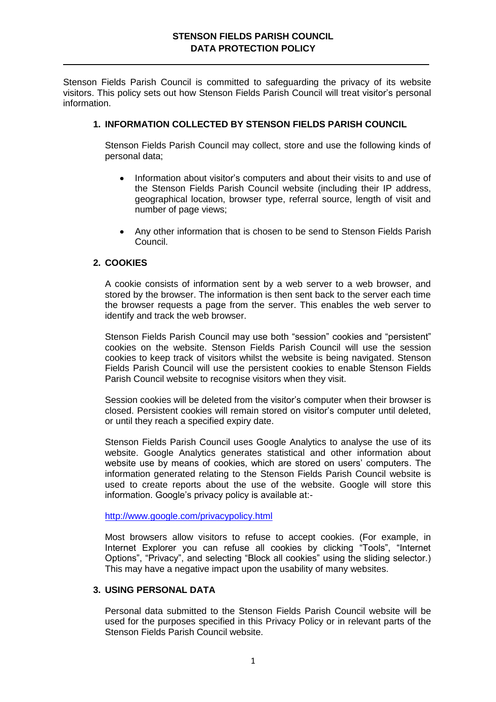Stenson Fields Parish Council is committed to safeguarding the privacy of its website visitors. This policy sets out how Stenson Fields Parish Council will treat visitor's personal information.

### **1. INFORMATION COLLECTED BY STENSON FIELDS PARISH COUNCIL**

Stenson Fields Parish Council may collect, store and use the following kinds of personal data;

- Information about visitor's computers and about their visits to and use of the Stenson Fields Parish Council website (including their IP address, geographical location, browser type, referral source, length of visit and number of page views;
- Any other information that is chosen to be send to Stenson Fields Parish Council.

#### **2. COOKIES**

A cookie consists of information sent by a web server to a web browser, and stored by the browser. The information is then sent back to the server each time the browser requests a page from the server. This enables the web server to identify and track the web browser.

Stenson Fields Parish Council may use both "session" cookies and "persistent" cookies on the website. Stenson Fields Parish Council will use the session cookies to keep track of visitors whilst the website is being navigated. Stenson Fields Parish Council will use the persistent cookies to enable Stenson Fields Parish Council website to recognise visitors when they visit.

Session cookies will be deleted from the visitor's computer when their browser is closed. Persistent cookies will remain stored on visitor's computer until deleted, or until they reach a specified expiry date.

Stenson Fields Parish Council uses Google Analytics to analyse the use of its website. Google Analytics generates statistical and other information about website use by means of cookies, which are stored on users' computers. The information generated relating to the Stenson Fields Parish Council website is used to create reports about the use of the website. Google will store this information. Google's privacy policy is available at:-

<http://www.google.com/privacypolicy.html>

Most browsers allow visitors to refuse to accept cookies. (For example, in Internet Explorer you can refuse all cookies by clicking "Tools", "Internet Options", "Privacy", and selecting "Block all cookies" using the sliding selector.) This may have a negative impact upon the usability of many websites.

#### **3. USING PERSONAL DATA**

Personal data submitted to the Stenson Fields Parish Council website will be used for the purposes specified in this Privacy Policy or in relevant parts of the Stenson Fields Parish Council website.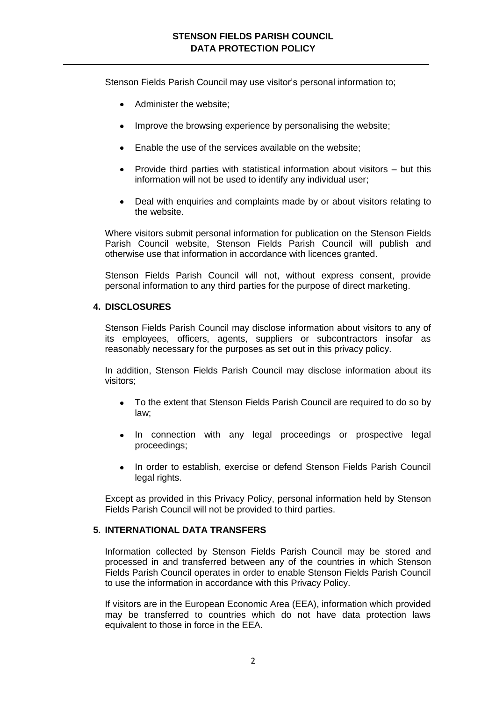Stenson Fields Parish Council may use visitor's personal information to;

- Administer the website;
- Improve the browsing experience by personalising the website:
- Enable the use of the services available on the website;
- Provide third parties with statistical information about visitors but this information will not be used to identify any individual user;
- Deal with enquiries and complaints made by or about visitors relating to the website.

Where visitors submit personal information for publication on the Stenson Fields Parish Council website, Stenson Fields Parish Council will publish and otherwise use that information in accordance with licences granted.

Stenson Fields Parish Council will not, without express consent, provide personal information to any third parties for the purpose of direct marketing.

# **4. DISCLOSURES**

Stenson Fields Parish Council may disclose information about visitors to any of its employees, officers, agents, suppliers or subcontractors insofar as reasonably necessary for the purposes as set out in this privacy policy.

In addition, Stenson Fields Parish Council may disclose information about its visitors;

- To the extent that Stenson Fields Parish Council are required to do so by law;
- $\bullet$ In connection with any legal proceedings or prospective legal proceedings;
- In order to establish, exercise or defend Stenson Fields Parish Council legal rights.

Except as provided in this Privacy Policy, personal information held by Stenson Fields Parish Council will not be provided to third parties.

# **5. INTERNATIONAL DATA TRANSFERS**

Information collected by Stenson Fields Parish Council may be stored and processed in and transferred between any of the countries in which Stenson Fields Parish Council operates in order to enable Stenson Fields Parish Council to use the information in accordance with this Privacy Policy.

If visitors are in the European Economic Area (EEA), information which provided may be transferred to countries which do not have data protection laws equivalent to those in force in the EEA.